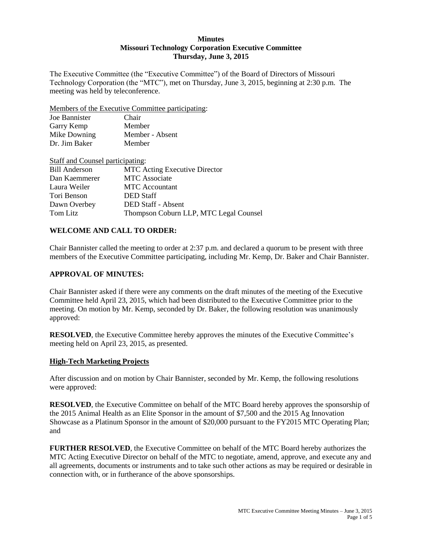#### **Minutes Missouri Technology Corporation Executive Committee Thursday, June 3, 2015**

The Executive Committee (the "Executive Committee") of the Board of Directors of Missouri Technology Corporation (the "MTC"), met on Thursday, June 3, 2015, beginning at 2:30 p.m. The meeting was held by teleconference.

Members of the Executive Committee participating:

| Chair           |
|-----------------|
| Member          |
| Member - Absent |
| Member          |
|                 |

| Staff and Counsel participating:       |
|----------------------------------------|
| <b>MTC</b> Acting Executive Director   |
| <b>MTC</b> Associate                   |
| <b>MTC</b> Accountant                  |
| <b>DED</b> Staff                       |
| <b>DED Staff - Absent</b>              |
| Thompson Coburn LLP, MTC Legal Counsel |
|                                        |

### **WELCOME AND CALL TO ORDER:**

Chair Bannister called the meeting to order at 2:37 p.m. and declared a quorum to be present with three members of the Executive Committee participating, including Mr. Kemp, Dr. Baker and Chair Bannister.

#### **APPROVAL OF MINUTES:**

Chair Bannister asked if there were any comments on the draft minutes of the meeting of the Executive Committee held April 23, 2015, which had been distributed to the Executive Committee prior to the meeting. On motion by Mr. Kemp, seconded by Dr. Baker, the following resolution was unanimously approved:

**RESOLVED**, the Executive Committee hereby approves the minutes of the Executive Committee's meeting held on April 23, 2015, as presented.

#### **High-Tech Marketing Projects**

After discussion and on motion by Chair Bannister, seconded by Mr. Kemp, the following resolutions were approved:

**RESOLVED**, the Executive Committee on behalf of the MTC Board hereby approves the sponsorship of the 2015 Animal Health as an Elite Sponsor in the amount of \$7,500 and the 2015 Ag Innovation Showcase as a Platinum Sponsor in the amount of \$20,000 pursuant to the FY2015 MTC Operating Plan; and

**FURTHER RESOLVED**, the Executive Committee on behalf of the MTC Board hereby authorizes the MTC Acting Executive Director on behalf of the MTC to negotiate, amend, approve, and execute any and all agreements, documents or instruments and to take such other actions as may be required or desirable in connection with, or in furtherance of the above sponsorships.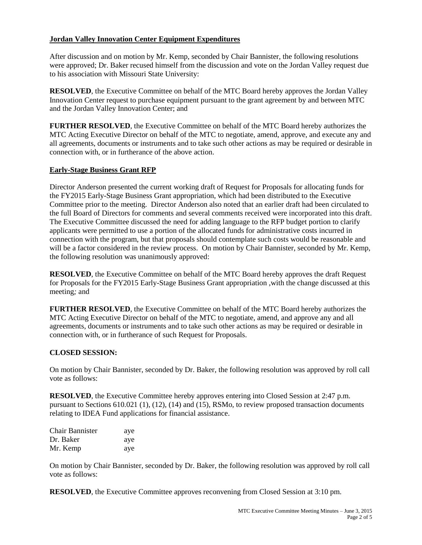## **Jordan Valley Innovation Center Equipment Expenditures**

After discussion and on motion by Mr. Kemp, seconded by Chair Bannister, the following resolutions were approved; Dr. Baker recused himself from the discussion and vote on the Jordan Valley request due to his association with Missouri State University:

**RESOLVED**, the Executive Committee on behalf of the MTC Board hereby approves the Jordan Valley Innovation Center request to purchase equipment pursuant to the grant agreement by and between MTC and the Jordan Valley Innovation Center; and

**FURTHER RESOLVED**, the Executive Committee on behalf of the MTC Board hereby authorizes the MTC Acting Executive Director on behalf of the MTC to negotiate, amend, approve, and execute any and all agreements, documents or instruments and to take such other actions as may be required or desirable in connection with, or in furtherance of the above action.

#### **Early-Stage Business Grant RFP**

Director Anderson presented the current working draft of Request for Proposals for allocating funds for the FY2015 Early-Stage Business Grant appropriation, which had been distributed to the Executive Committee prior to the meeting. Director Anderson also noted that an earlier draft had been circulated to the full Board of Directors for comments and several comments received were incorporated into this draft. The Executive Committee discussed the need for adding language to the RFP budget portion to clarify applicants were permitted to use a portion of the allocated funds for administrative costs incurred in connection with the program, but that proposals should contemplate such costs would be reasonable and will be a factor considered in the review process. On motion by Chair Bannister, seconded by Mr. Kemp, the following resolution was unanimously approved:

**RESOLVED**, the Executive Committee on behalf of the MTC Board hereby approves the draft Request for Proposals for the FY2015 Early-Stage Business Grant appropriation ,with the change discussed at this meeting*;* and

**FURTHER RESOLVED**, the Executive Committee on behalf of the MTC Board hereby authorizes the MTC Acting Executive Director on behalf of the MTC to negotiate, amend, and approve any and all agreements, documents or instruments and to take such other actions as may be required or desirable in connection with, or in furtherance of such Request for Proposals.

#### **CLOSED SESSION:**

On motion by Chair Bannister, seconded by Dr. Baker, the following resolution was approved by roll call vote as follows:

**RESOLVED**, the Executive Committee hereby approves entering into Closed Session at 2:47 p.m. pursuant to Sections 610.021 (1), (12), (14) and (15), RSMo, to review proposed transaction documents relating to IDEA Fund applications for financial assistance.

| <b>Chair Bannister</b> | aye |
|------------------------|-----|
| Dr. Baker              | aye |
| Mr. Kemp               | aye |

On motion by Chair Bannister, seconded by Dr. Baker, the following resolution was approved by roll call vote as follows:

**RESOLVED**, the Executive Committee approves reconvening from Closed Session at 3:10 pm.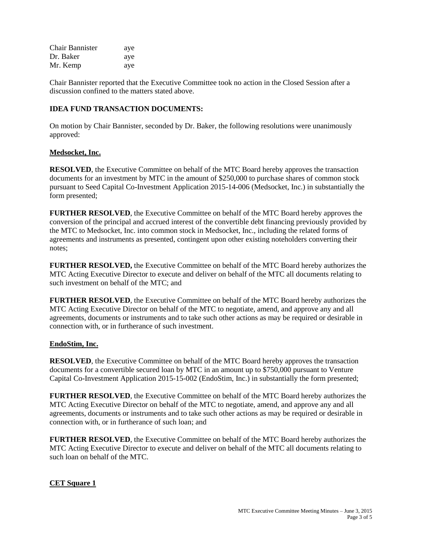| <b>Chair Bannister</b> | aye |
|------------------------|-----|
| Dr. Baker              | aye |
| Mr. Kemp               | aye |

Chair Bannister reported that the Executive Committee took no action in the Closed Session after a discussion confined to the matters stated above.

#### **IDEA FUND TRANSACTION DOCUMENTS:**

On motion by Chair Bannister, seconded by Dr. Baker, the following resolutions were unanimously approved:

#### **Medsocket, Inc.**

**RESOLVED**, the Executive Committee on behalf of the MTC Board hereby approves the transaction documents for an investment by MTC in the amount of \$250,000 to purchase shares of common stock pursuant to Seed Capital Co-Investment Application 2015-14-006 (Medsocket, Inc.) in substantially the form presented;

**FURTHER RESOLVED**, the Executive Committee on behalf of the MTC Board hereby approves the conversion of the principal and accrued interest of the convertible debt financing previously provided by the MTC to Medsocket, Inc. into common stock in Medsocket, Inc., including the related forms of agreements and instruments as presented, contingent upon other existing noteholders converting their notes;

**FURTHER RESOLVED,** the Executive Committee on behalf of the MTC Board hereby authorizes the MTC Acting Executive Director to execute and deliver on behalf of the MTC all documents relating to such investment on behalf of the MTC; and

**FURTHER RESOLVED**, the Executive Committee on behalf of the MTC Board hereby authorizes the MTC Acting Executive Director on behalf of the MTC to negotiate, amend, and approve any and all agreements, documents or instruments and to take such other actions as may be required or desirable in connection with, or in furtherance of such investment.

#### **EndoStim, Inc.**

**RESOLVED**, the Executive Committee on behalf of the MTC Board hereby approves the transaction documents for a convertible secured loan by MTC in an amount up to \$750,000 pursuant to Venture Capital Co-Investment Application 2015-15-002 (EndoStim, Inc.) in substantially the form presented;

**FURTHER RESOLVED**, the Executive Committee on behalf of the MTC Board hereby authorizes the MTC Acting Executive Director on behalf of the MTC to negotiate, amend, and approve any and all agreements, documents or instruments and to take such other actions as may be required or desirable in connection with, or in furtherance of such loan; and

**FURTHER RESOLVED**, the Executive Committee on behalf of the MTC Board hereby authorizes the MTC Acting Executive Director to execute and deliver on behalf of the MTC all documents relating to such loan on behalf of the MTC.

#### **CET Square 1**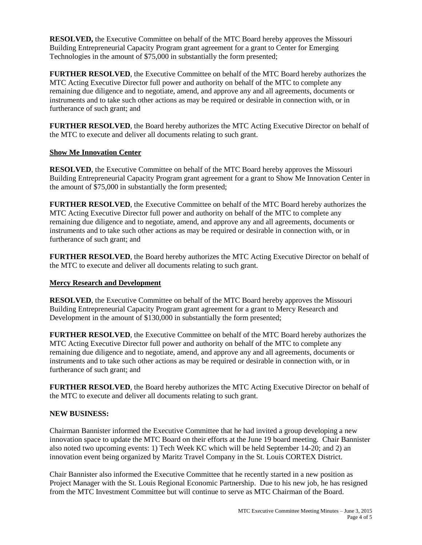**RESOLVED,** the Executive Committee on behalf of the MTC Board hereby approves the Missouri Building Entrepreneurial Capacity Program grant agreement for a grant to Center for Emerging Technologies in the amount of \$75,000 in substantially the form presented;

**FURTHER RESOLVED**, the Executive Committee on behalf of the MTC Board hereby authorizes the MTC Acting Executive Director full power and authority on behalf of the MTC to complete any remaining due diligence and to negotiate, amend, and approve any and all agreements, documents or instruments and to take such other actions as may be required or desirable in connection with, or in furtherance of such grant; and

**FURTHER RESOLVED**, the Board hereby authorizes the MTC Acting Executive Director on behalf of the MTC to execute and deliver all documents relating to such grant.

#### **Show Me Innovation Center**

**RESOLVED**, the Executive Committee on behalf of the MTC Board hereby approves the Missouri Building Entrepreneurial Capacity Program grant agreement for a grant to Show Me Innovation Center in the amount of \$75,000 in substantially the form presented;

**FURTHER RESOLVED**, the Executive Committee on behalf of the MTC Board hereby authorizes the MTC Acting Executive Director full power and authority on behalf of the MTC to complete any remaining due diligence and to negotiate, amend, and approve any and all agreements, documents or instruments and to take such other actions as may be required or desirable in connection with, or in furtherance of such grant; and

**FURTHER RESOLVED**, the Board hereby authorizes the MTC Acting Executive Director on behalf of the MTC to execute and deliver all documents relating to such grant.

#### **Mercy Research and Development**

**RESOLVED**, the Executive Committee on behalf of the MTC Board hereby approves the Missouri Building Entrepreneurial Capacity Program grant agreement for a grant to Mercy Research and Development in the amount of \$130,000 in substantially the form presented;

**FURTHER RESOLVED**, the Executive Committee on behalf of the MTC Board hereby authorizes the MTC Acting Executive Director full power and authority on behalf of the MTC to complete any remaining due diligence and to negotiate, amend, and approve any and all agreements, documents or instruments and to take such other actions as may be required or desirable in connection with, or in furtherance of such grant; and

**FURTHER RESOLVED**, the Board hereby authorizes the MTC Acting Executive Director on behalf of the MTC to execute and deliver all documents relating to such grant.

#### **NEW BUSINESS:**

Chairman Bannister informed the Executive Committee that he had invited a group developing a new innovation space to update the MTC Board on their efforts at the June 19 board meeting. Chair Bannister also noted two upcoming events: 1) Tech Week KC which will be held September 14-20; and 2) an innovation event being organized by Maritz Travel Company in the St. Louis CORTEX District.

Chair Bannister also informed the Executive Committee that he recently started in a new position as Project Manager with the St. Louis Regional Economic Partnership. Due to his new job, he has resigned from the MTC Investment Committee but will continue to serve as MTC Chairman of the Board.